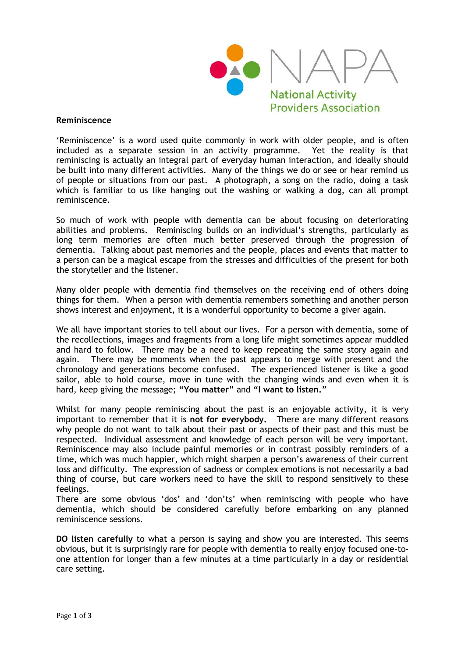

## **Reminiscence**

'Reminiscence' is a word used quite commonly in work with older people, and is often included as a separate session in an activity programme. Yet the reality is that reminiscing is actually an integral part of everyday human interaction, and ideally should be built into many different activities. Many of the things we do or see or hear remind us of people or situations from our past. A photograph, a song on the radio, doing a task which is familiar to us like hanging out the washing or walking a dog, can all prompt reminiscence.

So much of work with people with dementia can be about focusing on deteriorating abilities and problems. Reminiscing builds on an individual's strengths, particularly as long term memories are often much better preserved through the progression of dementia. Talking about past memories and the people, places and events that matter to a person can be a magical escape from the stresses and difficulties of the present for both the storyteller and the listener.

Many older people with dementia find themselves on the receiving end of others doing things **for** them. When a person with dementia remembers something and another person shows interest and enjoyment, it is a wonderful opportunity to become a giver again.

We all have important stories to tell about our lives. For a person with dementia, some of the recollections, images and fragments from a long life might sometimes appear muddled and hard to follow. There may be a need to keep repeating the same story again and again. There may be moments when the past appears to merge with present and the chronology and generations become confused. The experienced listener is like a good sailor, able to hold course, move in tune with the changing winds and even when it is hard, keep giving the message; **"You matter"** and **"I want to listen."**

Whilst for many people reminiscing about the past is an enjoyable activity, it is very important to remember that it is **not for everybody.** There are many different reasons why people do not want to talk about their past or aspects of their past and this must be respected. Individual assessment and knowledge of each person will be very important. Reminiscence may also include painful memories or in contrast possibly reminders of a time, which was much happier, which might sharpen a person's awareness of their current loss and difficulty. The expression of sadness or complex emotions is not necessarily a bad thing of course, but care workers need to have the skill to respond sensitively to these feelings.

There are some obvious 'dos' and 'don'ts' when reminiscing with people who have dementia, which should be considered carefully before embarking on any planned reminiscence sessions.

**DO listen carefully** to what a person is saying and show you are interested. This seems obvious, but it is surprisingly rare for people with dementia to really enjoy focused one-toone attention for longer than a few minutes at a time particularly in a day or residential care setting.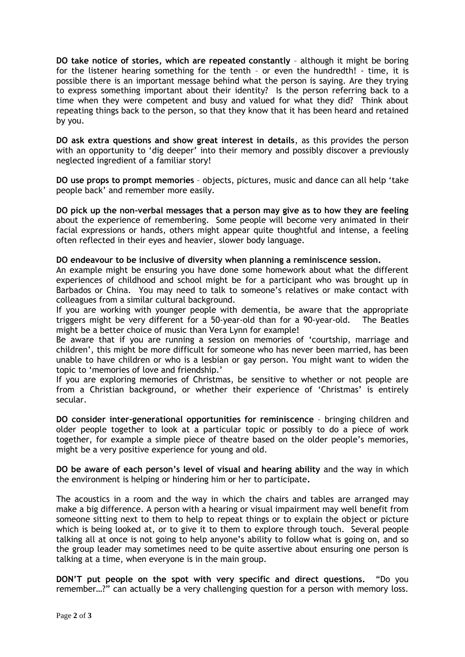**DO take notice of stories, which are repeated constantly** – although it might be boring for the listener hearing something for the tenth – or even the hundredth! - time, it is possible there is an important message behind what the person is saying. Are they trying to express something important about their identity? Is the person referring back to a time when they were competent and busy and valued for what they did? Think about repeating things back to the person, so that they know that it has been heard and retained by you.

**DO ask extra questions and show great interest in details**, as this provides the person with an opportunity to 'dig deeper' into their memory and possibly discover a previously neglected ingredient of a familiar story!

**DO use props to prompt memories** – objects, pictures, music and dance can all help 'take people back' and remember more easily.

**DO pick up the non-verbal messages that a person may give as to how they are feeling**  about the experience of remembering. Some people will become very animated in their facial expressions or hands, others might appear quite thoughtful and intense, a feeling often reflected in their eyes and heavier, slower body language.

## **DO endeavour to be inclusive of diversity when planning a reminiscence session.**

An example might be ensuring you have done some homework about what the different experiences of childhood and school might be for a participant who was brought up in Barbados or China. You may need to talk to someone's relatives or make contact with colleagues from a similar cultural background.

If you are working with younger people with dementia, be aware that the appropriate triggers might be very different for a 50-year-old than for a 90-year-old. The Beatles might be a better choice of music than Vera Lynn for example!

Be aware that if you are running a session on memories of 'courtship, marriage and children', this might be more difficult for someone who has never been married, has been unable to have children or who is a lesbian or gay person. You might want to widen the topic to 'memories of love and friendship.'

If you are exploring memories of Christmas, be sensitive to whether or not people are from a Christian background, or whether their experience of 'Christmas' is entirely secular.

**DO consider inter-generational opportunities for reminiscence** – bringing children and older people together to look at a particular topic or possibly to do a piece of work together, for example a simple piece of theatre based on the older people's memories, might be a very positive experience for young and old.

**DO be aware of each person's level of visual and hearing ability** and the way in which the environment is helping or hindering him or her to participate**.**

The acoustics in a room and the way in which the chairs and tables are arranged may make a big difference. A person with a hearing or visual impairment may well benefit from someone sitting next to them to help to repeat things or to explain the object or picture which is being looked at, or to give it to them to explore through touch. Several people talking all at once is not going to help anyone's ability to follow what is going on, and so the group leader may sometimes need to be quite assertive about ensuring one person is talking at a time, when everyone is in the main group.

**DON'T put people on the spot with very specific and direct questions.** "Do you remember…?" can actually be a very challenging question for a person with memory loss.